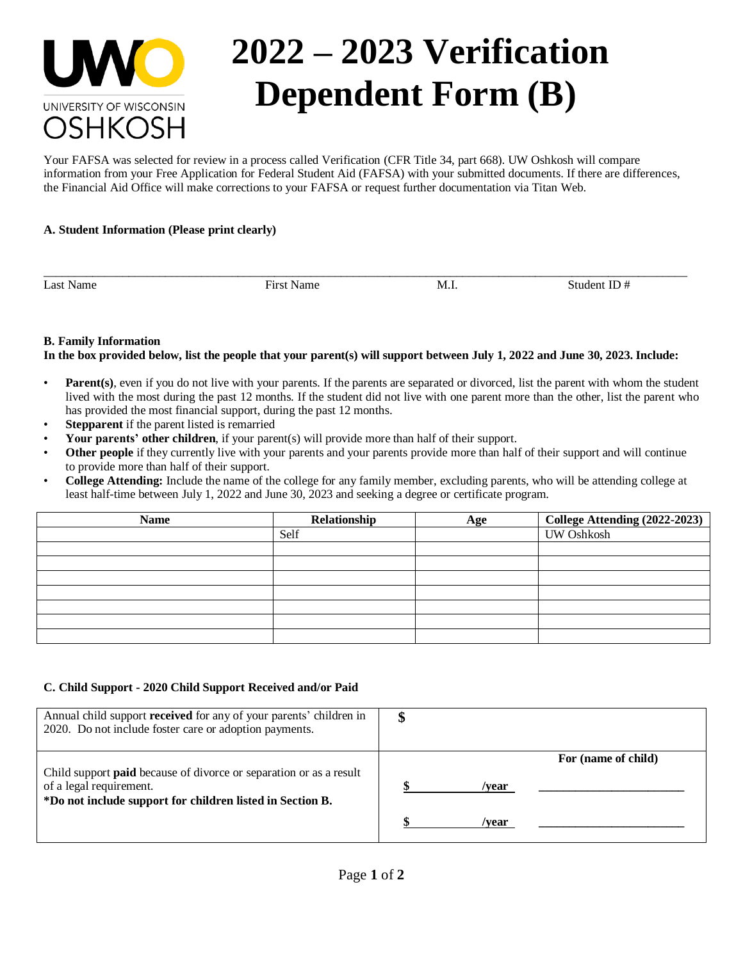

# **2022 – 2023 Verification Dependent Form (B)**

Your FAFSA was selected for review in a process called Verification (CFR Title 34, part 668). UW Oshkosh will compare information from your Free Application for Federal Student Aid (FAFSA) with your submitted documents. If there are differences, the Financial Aid Office will make corrections to your FAFSA or request further documentation via Titan Web.

# **A. Student Information (Please print clearly)**

Last Name Student ID  $\#$  First Name M.I. Student ID  $\#$ 

## **B. Family Information**

#### **In the box provided below, list the people that your parent(s) will support between July 1, 2022 and June 30, 2023. Include:**

\_\_\_\_\_\_\_\_\_\_\_\_\_\_\_\_\_\_\_\_\_\_\_\_\_\_\_\_\_\_\_\_\_\_\_\_\_\_\_\_\_\_\_\_\_\_\_\_\_\_\_\_\_\_\_\_\_\_\_\_\_\_\_\_\_\_\_\_\_\_\_\_\_\_\_\_\_\_\_\_\_\_\_\_\_\_\_\_\_\_\_\_\_\_\_\_\_\_\_\_\_\_\_\_\_\_

- **Parent**(s), even if you do not live with your parents. If the parents are separated or divorced, list the parent with whom the student lived with the most during the past 12 months. If the student did not live with one parent more than the other, list the parent who has provided the most financial support, during the past 12 months.
- **Stepparent** if the parent listed is remarried
- **Your parents' other children**, if your parent(s) will provide more than half of their support.
- **Other people** if they currently live with your parents and your parents provide more than half of their support and will continue to provide more than half of their support.
- **College Attending:** Include the name of the college for any family member, excluding parents, who will be attending college at least half-time between July 1, 2022 and June 30, 2023 and seeking a degree or certificate program.

| <b>Name</b> | Relationship | Age | College Attending (2022-2023) |
|-------------|--------------|-----|-------------------------------|
|             | Self         |     | <b>UW Oshkosh</b>             |
|             |              |     |                               |
|             |              |     |                               |
|             |              |     |                               |
|             |              |     |                               |
|             |              |     |                               |
|             |              |     |                               |
|             |              |     |                               |

## **C. Child Support - 2020 Child Support Received and/or Paid**

| Annual child support received for any of your parents' children in<br>2020. Do not include foster care or adoption payments.                                      | \$                           |
|-------------------------------------------------------------------------------------------------------------------------------------------------------------------|------------------------------|
| Child support <b>paid</b> because of divorce or separation or as a result<br>of a legal requirement.<br>*Do not include support for children listed in Section B. | For (name of child)<br>/vear |
|                                                                                                                                                                   | /vear                        |